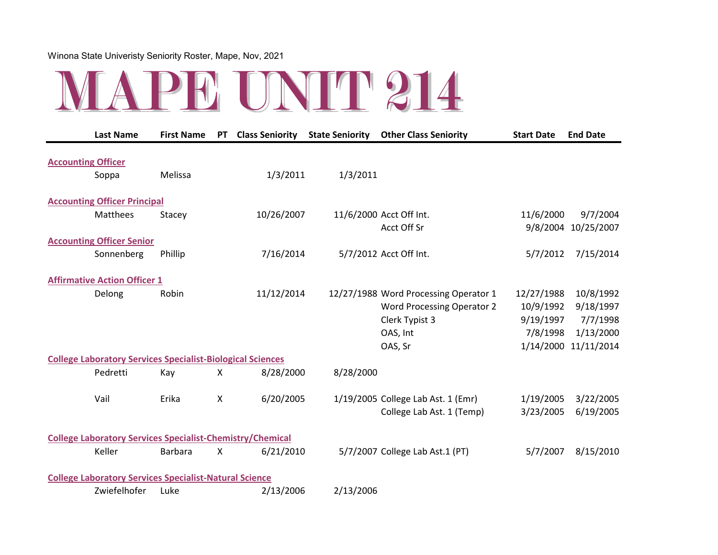

| <b>Last Name</b>                                                  |              | <b>First Name</b> | <b>PT</b>                 | <b>Class Seniority</b> State Seniority |           | <b>Other Class Seniority</b>          | <b>Start Date</b> | <b>End Date</b>     |
|-------------------------------------------------------------------|--------------|-------------------|---------------------------|----------------------------------------|-----------|---------------------------------------|-------------------|---------------------|
| <b>Accounting Officer</b>                                         |              |                   |                           |                                        |           |                                       |                   |                     |
| Soppa                                                             |              | Melissa           |                           | 1/3/2011                               | 1/3/2011  |                                       |                   |                     |
| <b>Accounting Officer Principal</b>                               |              |                   |                           |                                        |           |                                       |                   |                     |
| Matthees                                                          |              | Stacey            |                           | 10/26/2007                             |           | 11/6/2000 Acct Off Int.               | 11/6/2000         | 9/7/2004            |
|                                                                   |              |                   |                           |                                        |           | Acct Off Sr                           |                   | 9/8/2004 10/25/2007 |
| <b>Accounting Officer Senior</b>                                  |              |                   |                           |                                        |           |                                       |                   |                     |
|                                                                   | Sonnenberg   | Phillip           |                           | 7/16/2014                              |           | 5/7/2012 Acct Off Int.                | 5/7/2012          | 7/15/2014           |
| <b>Affirmative Action Officer 1</b>                               |              |                   |                           |                                        |           |                                       |                   |                     |
| Delong                                                            |              | Robin             |                           | 11/12/2014                             |           | 12/27/1988 Word Processing Operator 1 | 12/27/1988        | 10/8/1992           |
|                                                                   |              |                   |                           |                                        |           | <b>Word Processing Operator 2</b>     | 10/9/1992         | 9/18/1997           |
|                                                                   |              |                   |                           |                                        |           | Clerk Typist 3                        | 9/19/1997         | 7/7/1998            |
|                                                                   |              |                   |                           |                                        |           | OAS, Int                              | 7/8/1998          | 1/13/2000           |
|                                                                   |              |                   |                           |                                        |           | OAS, Sr                               | 1/14/2000         | 11/11/2014          |
| <b>College Laboratory Services Specialist-Biological Sciences</b> |              |                   |                           |                                        |           |                                       |                   |                     |
| Pedretti                                                          |              | Kay               | $\boldsymbol{\mathsf{X}}$ | 8/28/2000                              | 8/28/2000 |                                       |                   |                     |
| Vail                                                              |              | Erika             | $\boldsymbol{\mathsf{X}}$ | 6/20/2005                              |           | 1/19/2005 College Lab Ast. 1 (Emr)    | 1/19/2005         | 3/22/2005           |
|                                                                   |              |                   |                           |                                        |           | College Lab Ast. 1 (Temp)             | 3/23/2005         | 6/19/2005           |
| <b>College Laboratory Services Specialist-Chemistry/Chemical</b>  |              |                   |                           |                                        |           |                                       |                   |                     |
| Keller                                                            |              | <b>Barbara</b>    | $\boldsymbol{\mathsf{X}}$ | 6/21/2010                              |           | 5/7/2007 College Lab Ast.1 (PT)       | 5/7/2007          | 8/15/2010           |
| <b>College Laboratory Services Specialist-Natural Science</b>     |              |                   |                           |                                        |           |                                       |                   |                     |
|                                                                   | Zwiefelhofer | Luke              |                           | 2/13/2006                              | 2/13/2006 |                                       |                   |                     |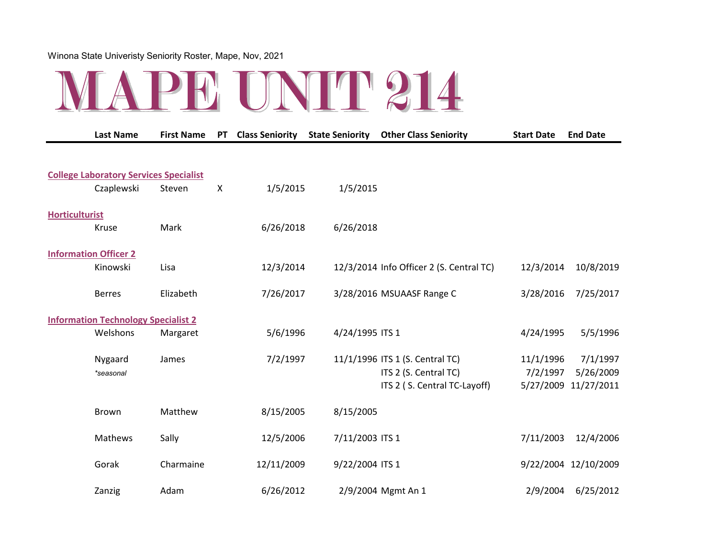|                       | <b>Last Name</b>                              | <b>First Name</b> | <b>PT</b>                 | <b>Class Seniority</b> | <b>State Seniority</b> | <b>Other Class Seniority</b>                                                             | <b>Start Date</b>     | <b>End Date</b>                               |
|-----------------------|-----------------------------------------------|-------------------|---------------------------|------------------------|------------------------|------------------------------------------------------------------------------------------|-----------------------|-----------------------------------------------|
|                       | <b>College Laboratory Services Specialist</b> |                   |                           |                        |                        |                                                                                          |                       |                                               |
|                       | Czaplewski                                    | Steven            | $\boldsymbol{\mathsf{X}}$ | 1/5/2015               | 1/5/2015               |                                                                                          |                       |                                               |
| <b>Horticulturist</b> |                                               |                   |                           |                        |                        |                                                                                          |                       |                                               |
|                       | Kruse                                         | Mark              |                           | 6/26/2018              | 6/26/2018              |                                                                                          |                       |                                               |
|                       | <b>Information Officer 2</b><br>Kinowski      | Lisa              |                           | 12/3/2014              |                        | 12/3/2014 Info Officer 2 (S. Central TC)                                                 | 12/3/2014             | 10/8/2019                                     |
|                       | <b>Berres</b>                                 | Elizabeth         |                           | 7/26/2017              |                        | 3/28/2016 MSUAASF Range C                                                                | 3/28/2016             | 7/25/2017                                     |
|                       | <b>Information Technology Specialist 2</b>    |                   |                           |                        |                        |                                                                                          |                       |                                               |
|                       | Welshons                                      | Margaret          |                           | 5/6/1996               | 4/24/1995 ITS 1        |                                                                                          | 4/24/1995             | 5/5/1996                                      |
|                       | Nygaard<br>*seasonal                          | James             |                           | 7/2/1997               |                        | 11/1/1996 ITS 1 (S. Central TC)<br>ITS 2 (S. Central TC)<br>ITS 2 (S. Central TC-Layoff) | 11/1/1996<br>7/2/1997 | 7/1/1997<br>5/26/2009<br>5/27/2009 11/27/2011 |
|                       | <b>Brown</b>                                  | Matthew           |                           | 8/15/2005              | 8/15/2005              |                                                                                          |                       |                                               |
|                       | Mathews                                       | Sally             |                           | 12/5/2006              | 7/11/2003 ITS 1        |                                                                                          | 7/11/2003             | 12/4/2006                                     |
|                       | Gorak                                         | Charmaine         |                           | 12/11/2009             | 9/22/2004 ITS 1        |                                                                                          |                       | 9/22/2004 12/10/2009                          |
|                       | Zanzig                                        | Adam              |                           | 6/26/2012              |                        | 2/9/2004 Mgmt An 1                                                                       | 2/9/2004              | 6/25/2012                                     |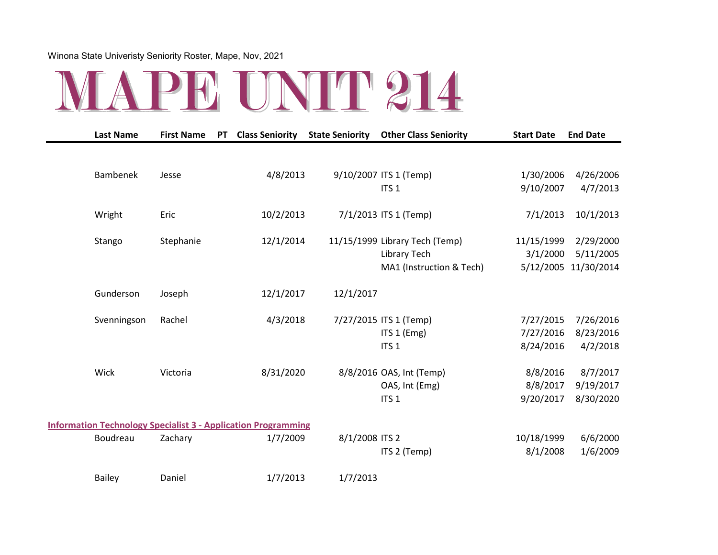

| <b>Last Name</b> | <b>First Name</b> | <b>PT</b> | <b>Class Seniority</b>                                               | <b>State Seniority</b> | <b>Other Class Seniority</b>   | <b>Start Date</b> | <b>End Date</b> |
|------------------|-------------------|-----------|----------------------------------------------------------------------|------------------------|--------------------------------|-------------------|-----------------|
|                  |                   |           |                                                                      |                        |                                |                   |                 |
| <b>Bambenek</b>  | Jesse             |           | 4/8/2013                                                             |                        | 9/10/2007 ITS 1 (Temp)         | 1/30/2006         | 4/26/2006       |
|                  |                   |           |                                                                      |                        | ITS <sub>1</sub>               | 9/10/2007         | 4/7/2013        |
| Wright           | Eric              |           | 10/2/2013                                                            |                        | 7/1/2013 ITS 1 (Temp)          | 7/1/2013          | 10/1/2013       |
| Stango           | Stephanie         |           | 12/1/2014                                                            |                        | 11/15/1999 Library Tech (Temp) | 11/15/1999        | 2/29/2000       |
|                  |                   |           |                                                                      |                        | <b>Library Tech</b>            | 3/1/2000          | 5/11/2005       |
|                  |                   |           |                                                                      |                        | MA1 (Instruction & Tech)       | 5/12/2005         | 11/30/2014      |
| Gunderson        | Joseph            |           | 12/1/2017                                                            | 12/1/2017              |                                |                   |                 |
| Svenningson      | Rachel            |           | 4/3/2018                                                             |                        | 7/27/2015 ITS 1 (Temp)         | 7/27/2015         | 7/26/2016       |
|                  |                   |           |                                                                      |                        | ITS 1 (Emg)                    | 7/27/2016         | 8/23/2016       |
|                  |                   |           |                                                                      |                        | ITS <sub>1</sub>               | 8/24/2016         | 4/2/2018        |
| Wick             | Victoria          |           | 8/31/2020                                                            |                        | 8/8/2016 OAS, Int (Temp)       | 8/8/2016          | 8/7/2017        |
|                  |                   |           |                                                                      |                        | OAS, Int (Emg)                 | 8/8/2017          | 9/19/2017       |
|                  |                   |           |                                                                      |                        | ITS <sub>1</sub>               | 9/20/2017         | 8/30/2020       |
|                  |                   |           | <b>Information Technology Specialist 3 - Application Programming</b> |                        |                                |                   |                 |
| Boudreau         | Zachary           |           | 1/7/2009                                                             | 8/1/2008 ITS 2         |                                | 10/18/1999        | 6/6/2000        |
|                  |                   |           |                                                                      |                        | ITS 2 (Temp)                   | 8/1/2008          | 1/6/2009        |
| <b>Bailey</b>    | Daniel            |           | 1/7/2013                                                             | 1/7/2013               |                                |                   |                 |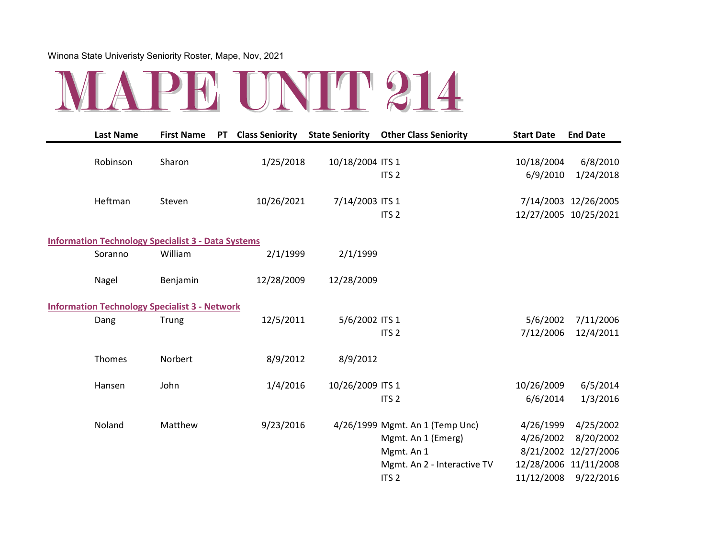

| <b>Last Name</b>                                          | <b>First Name</b> | <b>PT</b> | <b>Class Seniority</b> | <b>State Seniority</b> | <b>Other Class Seniority</b>    | <b>Start Date</b> | <b>End Date</b>       |
|-----------------------------------------------------------|-------------------|-----------|------------------------|------------------------|---------------------------------|-------------------|-----------------------|
| Robinson                                                  | Sharon            |           | 1/25/2018              | 10/18/2004 ITS 1       |                                 | 10/18/2004        | 6/8/2010              |
|                                                           |                   |           |                        |                        | ITS <sub>2</sub>                | 6/9/2010          | 1/24/2018             |
| Heftman                                                   | Steven            |           | 10/26/2021             | 7/14/2003 ITS 1        |                                 |                   | 7/14/2003 12/26/2005  |
|                                                           |                   |           |                        |                        | ITS <sub>2</sub>                |                   | 12/27/2005 10/25/2021 |
| <b>Information Technology Specialist 3 - Data Systems</b> |                   |           |                        |                        |                                 |                   |                       |
| Soranno                                                   | William           |           | 2/1/1999               | 2/1/1999               |                                 |                   |                       |
| Nagel                                                     | Benjamin          |           | 12/28/2009             | 12/28/2009             |                                 |                   |                       |
| <b>Information Technology Specialist 3 - Network</b>      |                   |           |                        |                        |                                 |                   |                       |
| Dang                                                      | Trung             |           | 12/5/2011              | 5/6/2002 ITS 1         |                                 | 5/6/2002          | 7/11/2006             |
|                                                           |                   |           |                        |                        | ITS <sub>2</sub>                | 7/12/2006         | 12/4/2011             |
| Thomes                                                    | Norbert           |           | 8/9/2012               | 8/9/2012               |                                 |                   |                       |
| Hansen                                                    | John              |           | 1/4/2016               | 10/26/2009 ITS 1       |                                 | 10/26/2009        | 6/5/2014              |
|                                                           |                   |           |                        |                        | ITS <sub>2</sub>                | 6/6/2014          | 1/3/2016              |
| Noland                                                    | Matthew           |           | 9/23/2016              |                        | 4/26/1999 Mgmt. An 1 (Temp Unc) | 4/26/1999         | 4/25/2002             |
|                                                           |                   |           |                        |                        | Mgmt. An 1 (Emerg)              | 4/26/2002         | 8/20/2002             |
|                                                           |                   |           |                        |                        | Mgmt. An 1                      |                   | 8/21/2002 12/27/2006  |
|                                                           |                   |           |                        |                        | Mgmt. An 2 - Interactive TV     |                   | 12/28/2006 11/11/2008 |
|                                                           |                   |           |                        |                        | ITS <sub>2</sub>                | 11/12/2008        | 9/22/2016             |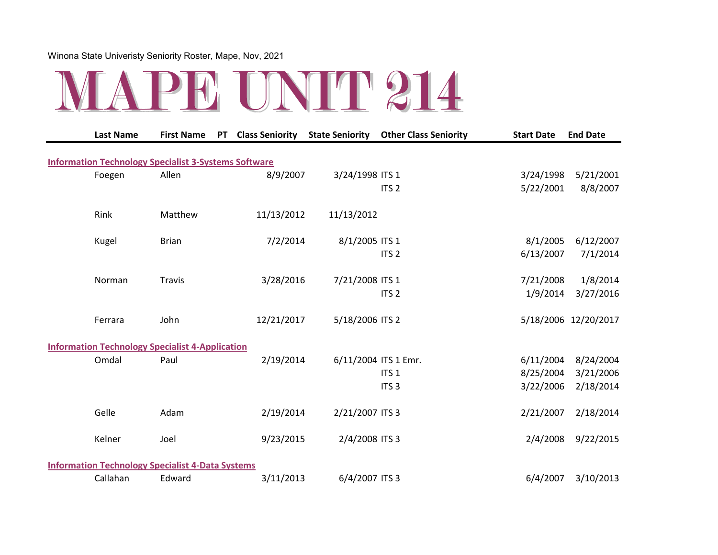

| <b>Last Name</b>                                            | <b>First Name</b> | <b>PT</b> | <b>Class Seniority</b> | <b>State Seniority</b> | <b>Other Class Seniority</b> | <b>Start Date</b> | <b>End Date</b>      |
|-------------------------------------------------------------|-------------------|-----------|------------------------|------------------------|------------------------------|-------------------|----------------------|
|                                                             |                   |           |                        |                        |                              |                   |                      |
| <b>Information Technology Specialist 3-Systems Software</b> |                   |           |                        |                        |                              |                   |                      |
| Foegen                                                      | Allen             |           | 8/9/2007               | 3/24/1998 ITS 1        |                              | 3/24/1998         | 5/21/2001            |
|                                                             |                   |           |                        |                        | ITS <sub>2</sub>             | 5/22/2001         | 8/8/2007             |
| Rink                                                        | Matthew           |           | 11/13/2012             | 11/13/2012             |                              |                   |                      |
| Kugel                                                       | <b>Brian</b>      |           | 7/2/2014               | 8/1/2005 ITS 1         |                              | 8/1/2005          | 6/12/2007            |
|                                                             |                   |           |                        |                        | ITS <sub>2</sub>             | 6/13/2007         | 7/1/2014             |
| Norman                                                      | <b>Travis</b>     |           | 3/28/2016              | 7/21/2008 ITS 1        |                              | 7/21/2008         | 1/8/2014             |
|                                                             |                   |           |                        |                        | ITS <sub>2</sub>             | 1/9/2014          | 3/27/2016            |
| Ferrara                                                     | John              |           | 12/21/2017             | 5/18/2006 ITS 2        |                              |                   | 5/18/2006 12/20/2017 |
|                                                             |                   |           |                        |                        |                              |                   |                      |
| <b>Information Technology Specialist 4-Application</b>      |                   |           |                        |                        |                              |                   |                      |
| Omdal                                                       | Paul              |           | 2/19/2014              |                        | 6/11/2004 ITS 1 Emr.         | 6/11/2004         | 8/24/2004            |
|                                                             |                   |           |                        |                        | ITS <sub>1</sub>             | 8/25/2004         | 3/21/2006            |
|                                                             |                   |           |                        |                        | ITS <sub>3</sub>             | 3/22/2006         | 2/18/2014            |
| Gelle                                                       | Adam              |           | 2/19/2014              | 2/21/2007 ITS 3        |                              | 2/21/2007         | 2/18/2014            |
| Kelner                                                      | Joel              |           | 9/23/2015              | 2/4/2008 ITS 3         |                              | 2/4/2008          | 9/22/2015            |
| <b>Information Technology Specialist 4-Data Systems</b>     |                   |           |                        |                        |                              |                   |                      |
| Callahan                                                    | Edward            |           | 3/11/2013              | 6/4/2007 ITS 3         |                              | 6/4/2007          | 3/10/2013            |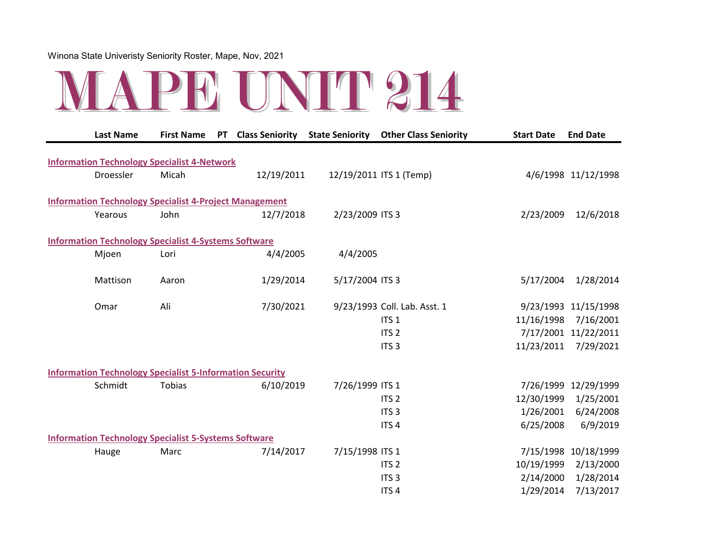

| <b>Last Name</b>                                                | <b>First Name</b> | <b>PT</b> | <b>Class Seniority</b> | <b>State Seniority</b> | <b>Other Class Seniority</b> | <b>Start Date</b> | <b>End Date</b>      |
|-----------------------------------------------------------------|-------------------|-----------|------------------------|------------------------|------------------------------|-------------------|----------------------|
| <b>Information Technology Specialist 4-Network</b>              |                   |           |                        |                        |                              |                   |                      |
| Droessler                                                       | Micah             |           | 12/19/2011             |                        | 12/19/2011 ITS 1 (Temp)      |                   | 4/6/1998 11/12/1998  |
| <b>Information Technology Specialist 4-Project Management</b>   |                   |           |                        |                        |                              |                   |                      |
| Yearous                                                         | John              |           | 12/7/2018              | 2/23/2009 ITS 3        |                              | 2/23/2009         | 12/6/2018            |
| <b>Information Technology Specialist 4-Systems Software</b>     |                   |           |                        |                        |                              |                   |                      |
| Mjoen                                                           | Lori              |           | 4/4/2005               | 4/4/2005               |                              |                   |                      |
| Mattison                                                        | Aaron             |           | 1/29/2014              | 5/17/2004 ITS 3        |                              | 5/17/2004         | 1/28/2014            |
| Omar                                                            | Ali               |           | 7/30/2021              |                        | 9/23/1993 Coll. Lab. Asst. 1 |                   | 9/23/1993 11/15/1998 |
|                                                                 |                   |           |                        |                        | ITS <sub>1</sub>             | 11/16/1998        | 7/16/2001            |
|                                                                 |                   |           |                        |                        | ITS <sub>2</sub>             |                   | 7/17/2001 11/22/2011 |
|                                                                 |                   |           |                        |                        | ITS <sub>3</sub>             | 11/23/2011        | 7/29/2021            |
| <b>Information Technology Specialist 5-Information Security</b> |                   |           |                        |                        |                              |                   |                      |
| Schmidt                                                         | Tobias            |           | 6/10/2019              | 7/26/1999 ITS 1        |                              |                   | 7/26/1999 12/29/1999 |
|                                                                 |                   |           |                        |                        | ITS <sub>2</sub>             | 12/30/1999        | 1/25/2001            |
|                                                                 |                   |           |                        |                        | ITS <sub>3</sub>             | 1/26/2001         | 6/24/2008            |
|                                                                 |                   |           |                        |                        | ITS <sub>4</sub>             | 6/25/2008         | 6/9/2019             |
| <b>Information Technology Specialist 5-Systems Software</b>     |                   |           |                        |                        |                              |                   |                      |
| Hauge                                                           | Marc              |           | 7/14/2017              | 7/15/1998 ITS 1        |                              |                   | 7/15/1998 10/18/1999 |
|                                                                 |                   |           |                        |                        | ITS <sub>2</sub>             | 10/19/1999        | 2/13/2000            |
|                                                                 |                   |           |                        |                        | ITS <sub>3</sub>             | 2/14/2000         | 1/28/2014            |
|                                                                 |                   |           |                        |                        | ITS <sub>4</sub>             | 1/29/2014         | 7/13/2017            |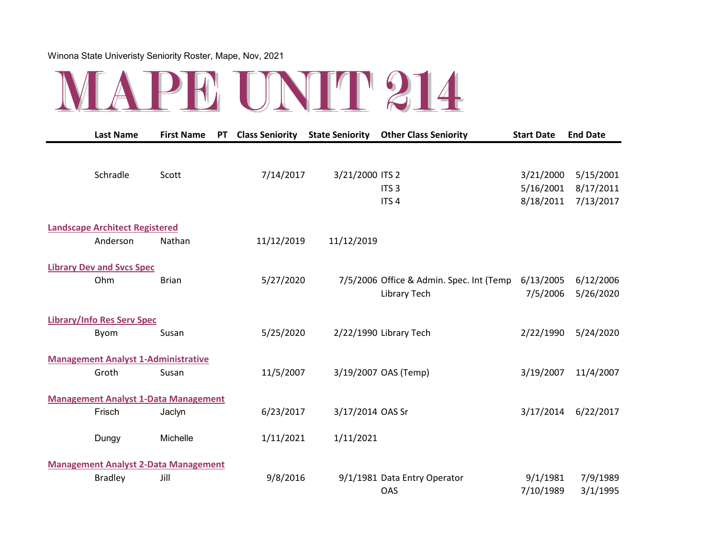

| <b>Last Name</b>                            | <b>First Name</b> | <b>PT</b> | <b>Class Seniority</b> | <b>State Seniority</b> | <b>Other Class Seniority</b>             | <b>Start Date</b> | <b>End Date</b> |
|---------------------------------------------|-------------------|-----------|------------------------|------------------------|------------------------------------------|-------------------|-----------------|
|                                             |                   |           |                        |                        |                                          |                   |                 |
| Schradle                                    | Scott             |           | 7/14/2017              | 3/21/2000 ITS 2        |                                          | 3/21/2000         | 5/15/2001       |
|                                             |                   |           |                        |                        | ITS <sub>3</sub>                         | 5/16/2001         | 8/17/2011       |
|                                             |                   |           |                        |                        | ITS <sub>4</sub>                         | 8/18/2011         | 7/13/2017       |
| <b>Landscape Architect Registered</b>       |                   |           |                        |                        |                                          |                   |                 |
| Anderson                                    | Nathan            |           | 11/12/2019             | 11/12/2019             |                                          |                   |                 |
| <b>Library Dev and Svcs Spec</b>            |                   |           |                        |                        |                                          |                   |                 |
| Ohm                                         | <b>Brian</b>      |           | 5/27/2020              |                        | 7/5/2006 Office & Admin. Spec. Int (Temp | 6/13/2005         | 6/12/2006       |
|                                             |                   |           |                        |                        | Library Tech                             | 7/5/2006          | 5/26/2020       |
| <b>Library/Info Res Serv Spec</b>           |                   |           |                        |                        |                                          |                   |                 |
| Byom                                        | Susan             |           | 5/25/2020              |                        | 2/22/1990 Library Tech                   | 2/22/1990         | 5/24/2020       |
|                                             |                   |           |                        |                        |                                          |                   |                 |
| <b>Management Analyst 1-Administrative</b>  |                   |           |                        |                        |                                          |                   |                 |
| Groth                                       | Susan             |           | 11/5/2007              |                        | 3/19/2007 OAS (Temp)                     | 3/19/2007         | 11/4/2007       |
| <b>Management Analyst 1-Data Management</b> |                   |           |                        |                        |                                          |                   |                 |
| Frisch                                      | Jaclyn            |           | 6/23/2017              | 3/17/2014 OAS Sr       |                                          | 3/17/2014         | 6/22/2017       |
| Dungy                                       | Michelle          |           | 1/11/2021              | 1/11/2021              |                                          |                   |                 |
|                                             |                   |           |                        |                        |                                          |                   |                 |
| <b>Management Analyst 2-Data Management</b> |                   |           |                        |                        |                                          |                   |                 |
| <b>Bradley</b>                              | Jill              |           | 9/8/2016               |                        | 9/1/1981 Data Entry Operator             | 9/1/1981          | 7/9/1989        |
|                                             |                   |           |                        |                        | <b>OAS</b>                               | 7/10/1989         | 3/1/1995        |